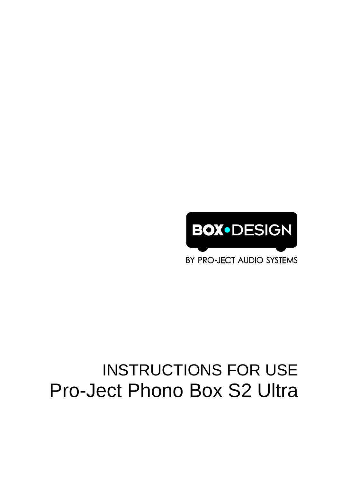# INSTRUCTIONS FOR USE Pro-Ject Phono Box S2 Ultra

BY PRO-JECT AUDIO SYSTEMS

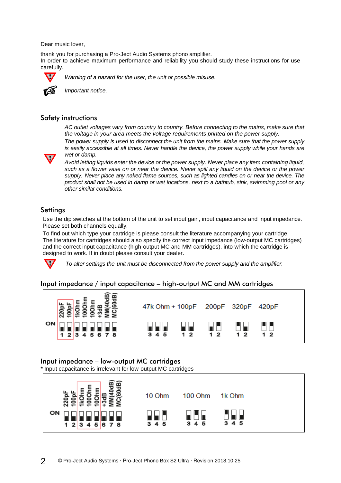Dear music lover,

thank you for purchasing a Pro-Ject Audio Systems phono amplifier. In order to achieve maximum performance and reliability you should study these instructions for use carefully.



*Warning of a hazard for the user, the unit or possible misuse.*



*Important notice.*

#### Safety instructions

*AC outlet voltages vary from country to country. Before connecting to the mains, make sure that the voltage in your area meets the voltage requirements printed on the power supply.*

*The power supply is used to disconnect the unit from the mains. Make sure that the power supply is easily accessible at all times. Never handle the device, the power supply while your hands are wet or damp.*

*Avoid letting liquids enter the device or the power supply. Never place any item containing liquid, such as a flower vase on or near the device. Never spill any liquid on the device or the power supply. Never place any naked flame sources, such as lighted candles on or near the device. The product shall not be used in damp or wet locations, next to a bathtub, sink, swimming pool or any other similar conditions.*

## **Settings**

Use the dip switches at the bottom of the unit to set input gain, input capacitance and input impedance. Please set both channels equally.

To find out which type your cartridge is please consult the literature accompanying your cartridge. The literature for cartridges should also specify the correct input impedance (low-output MC cartridges) and the correct input capacitance (high-output MC and MM cartridges), into which the cartridge is designed to work. If in doubt please consult your dealer.



*To alter settings the unit must be disconnected from the power supply and the amplifier.*

#### Input impedance / input capacitance – high-output MC and MM cartridges



## Input impedance – low-output MC cartridges

\* Input capacitance is irrelevant for low-output MC cartridges

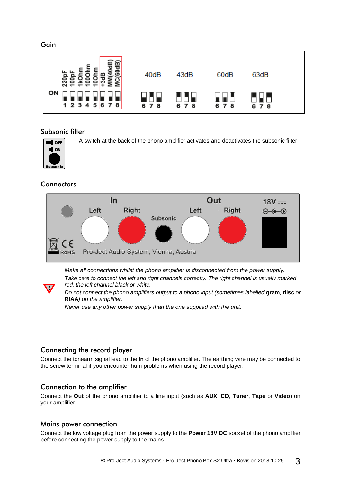Gain



#### Subsonic filter



A switch at the back of the phono amplifier activates and deactivates the subsonic filter.

## **Connectors**



*Make all connections whilst the phono amplifier is disconnected from the power supply. Take care to connect the left and right channels correctly. The right channel is usually marked red, the left channel black or white.*

*Do not connect the phono amplifiers output to a phono input (sometimes labelled* **gram***,* **disc** *or*  **RIAA***) on the amplifier.*

*Never use any other power supply than the one supplied with the unit.*

## Connecting the record player

Connect the tonearm signal lead to the **In** of the phono amplifier. The earthing wire may be connected to the screw terminal if you encounter hum problems when using the record player.

## Connection to the amplifier

Connect the **Out** of the phono amplifier to a line input (such as **AUX**, **CD**, **Tuner**, **Tape** or **Video**) on your amplifier.

#### Mains power connection

Connect the low voltage plug from the power supply to the **Power 18V DC** socket of the phono amplifier before connecting the power supply to the mains.